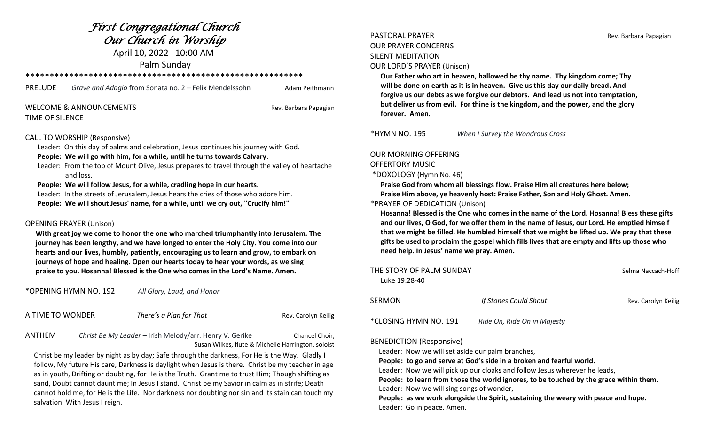# *First Congregational Church Our Church in Worship*

April 10, 2022 10:00 AM

Palm Sunday

\*\*\*\*\*\*\*\*\*\*\*\*\*\*\*\*\*\*\*\*\*\*\*\*\*\*\*\*\*\*\*\*\*\*\*\*\*\*\*\*\*\*\*\*\*\*\*\*\*\*\*\*\*\*\*\*\*

PRELUDE *Grave and Adagio* from Sonata no. 2 – Felix Mendelssohn Adam Peithmann

### WELCOME & ANNOUNCEMENTS **Rev. Barbara Papagian** TIME OF SILENCE

### CALL TO WORSHIP (Responsive)

Leader: On this day of palms and celebration, Jesus continues his journey with God.

### **People: We will go with him, for a while, until he turns towards Calvary**.

 Leader: From the top of Mount Olive, Jesus prepares to travel through the valley of heartache and loss.

### **People: We will follow Jesus, for a while, cradling hope in our hearts.**

 Leader: In the streets of Jerusalem, Jesus hears the cries of those who adore him.  **People: We will shout Jesus' name, for a while, until we cry out, "Crucify him!"**

### OPENING PRAYER (Unison)

 **With great joy we come to honor the one who marched triumphantly into Jerusalem. The journey has been lengthy, and we have longed to enter the Holy City. You come into our hearts and our lives, humbly, patiently, encouraging us to learn and grow, to embark on journeys of hope and healing. Open our hearts today to hear your words, as we sing praise to you. Hosanna! Blessed is the One who comes in the Lord's Name. Amen.**

\*OPENING HYMN NO. 192 *All Glory, Laud, and Honor*

| A TIME TO WONDER | There's a Plan for That | Rev. Carolyn Keilig |
|------------------|-------------------------|---------------------|
|                  |                         |                     |

ANTHEM *Christ Be My Leader* – Irish Melody/arr. Henry V. Gerike Chancel Choir, Susan Wilkes, flute & Michelle Harrington, soloist

 Christ be my leader by night as by day; Safe through the darkness, For He is the Way. Gladly I follow, My future His care, Darkness is daylight when Jesus is there. Christ be my teacher in age as in youth, Drifting or doubting, for He is the Truth. Grant me to trust Him; Though shifting as sand, Doubt cannot daunt me; In Jesus I stand. Christ be my Savior in calm as in strife; Death cannot hold me, for He is the Life. Nor darkness nor doubting nor sin and its stain can touch my salvation: With Jesus I reign.

## PASTORAL PRAYER **Rev. Barbara Papagian** OUR PRAYER CONCERNS SILENT MEDITATION

OUR LORD'S PRAYER (Unison)

 **Our Father who art in heaven, hallowed be thy name. Thy kingdom come; Thy will be done on earth as it is in heaven. Give us this day our daily bread. And forgive us our debts as we forgive our debtors. And lead us not into temptation, but deliver us from evil. For thine is the kingdom, and the power, and the glory forever. Amen.**

\*HYMN NO. 195 *When I Survey the Wondrous Cross*

### OUR MORNING OFFERING

### OFFERTORY MUSIC

\*DOXOLOGY (Hymn No. 46)

 **Praise God from whom all blessings flow. Praise Him all creatures here below; Praise Him above, ye heavenly host: Praise Father, Son and Holy Ghost. Amen.** 

\*PRAYER OF DEDICATION (Unison)

 **Hosanna! Blessed is the One who comes in the name of the Lord. Hosanna! Bless these gifts and our lives, O God, for we offer them in the name of Jesus, our Lord. He emptied himself that we might be filled. He humbled himself that we might be lifted up. We pray that these gifts be used to proclaim the gospel which fills lives that are empty and lifts up those who need help. In Jesus' name we pray. Amen.**

| THE STORY OF PALM SUNDAY<br>Luke 19:28-40                                          |                             | Selma Naccach-Hoff  |
|------------------------------------------------------------------------------------|-----------------------------|---------------------|
| SERMON                                                                             | If Stones Could Shout       | Rev. Carolyn Keilig |
| *CLOSING HYMN NO. 191                                                              | Ride On, Ride On in Majesty |                     |
| <b>BENEDICTION (Responsive)</b><br>Loador: Now we will set aside our palm branshes |                             |                     |

Leader: Now we will set aside our palm branches,

 **People: to go and serve at God's side in a broken and fearful world.**

Leader: Now we will pick up our cloaks and follow Jesus wherever he leads,

 **People: to learn from those the world ignores, to be touched by the grace within them.** Leader: Now we will sing songs of wonder,

 **People: as we work alongside the Spirit, sustaining the weary with peace and hope.** Leader: Go in peace. Amen.